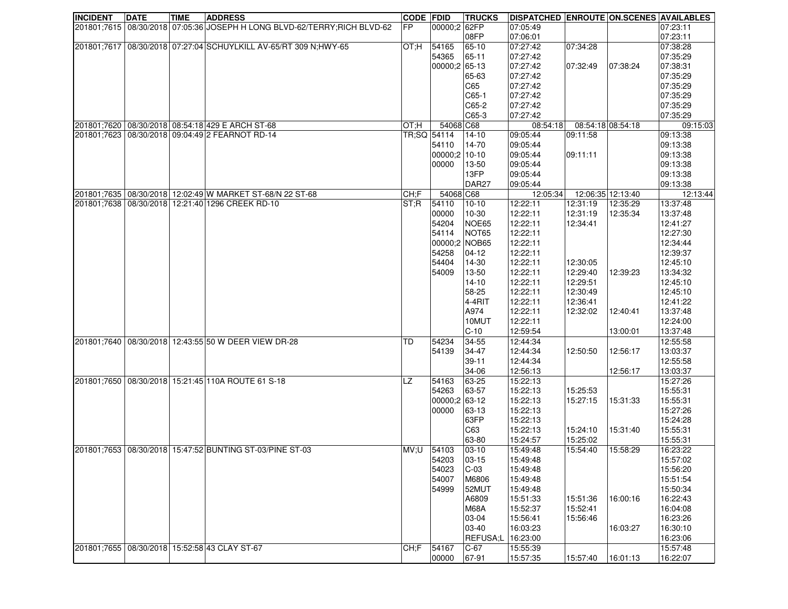| <b>INCIDENT</b> | <b>DATE</b> | <b>TIME</b> | <b>ADDRESS</b>                                                           | <b>CODE FDID</b> |               | <b>TRUCKS</b>     | <b>DISPATCHED ENROUTE ON.SCENES AVAILABLES</b> |                   |          |          |
|-----------------|-------------|-------------|--------------------------------------------------------------------------|------------------|---------------|-------------------|------------------------------------------------|-------------------|----------|----------|
|                 |             |             | 201801;7615 08/30/2018 07:05:36 JOSEPH H LONG BLVD-62/TERRY;RICH BLVD-62 | FP.              | 00000;2 62FP  |                   | 07:05:49                                       |                   |          | 07:23:11 |
|                 |             |             |                                                                          |                  |               | 08FP              | 07:06:01                                       |                   |          | 07:23:11 |
|                 |             |             | 201801;7617   08/30/2018   07:27:04 SCHUYLKILL AV-65/RT 309 N;HWY-65     | OT:H             | 54165         | 65-10             | 07:27:42                                       | 07:34:28          |          | 07:38:28 |
|                 |             |             |                                                                          |                  | 54365         | 65-11             | 07:27:42                                       |                   |          | 07:35:29 |
|                 |             |             |                                                                          |                  | 00000;2 65-13 |                   | 07:27:42                                       | 07:32:49          | 07:38:24 | 07:38:31 |
|                 |             |             |                                                                          |                  |               | 65-63             | 07:27:42                                       |                   |          | 07:35:29 |
|                 |             |             |                                                                          |                  |               | C65               | 07:27:42                                       |                   |          | 07:35:29 |
|                 |             |             |                                                                          |                  |               | $C65-1$           | 07:27:42                                       |                   |          | 07:35:29 |
|                 |             |             |                                                                          |                  |               | C65-2             | 07:27:42                                       |                   |          | 07:35:29 |
|                 |             |             |                                                                          |                  |               | C65-3             |                                                |                   |          | 07:35:29 |
|                 |             |             | 201801;7620 08/30/2018 08:54:18 429 E ARCH ST-68                         |                  |               |                   | 07:27:42                                       |                   |          |          |
|                 |             |             |                                                                          | OT;H             | 54068 C68     |                   | 08:54:18                                       | 08:54:18 08:54:18 |          | 09:15:03 |
|                 |             |             | 201801;7623 08/30/2018 09:04:49 2 FEARNOT RD-14                          | TR;SQ 54114      |               | $14-10$           | 09:05:44                                       | 09:11:58          |          | 09:13:38 |
|                 |             |             |                                                                          |                  | 54110         | 14-70             | 09:05:44                                       |                   |          | 09:13:38 |
|                 |             |             |                                                                          |                  | 00000:2 10-10 |                   | 09:05:44                                       | 09:11:11          |          | 09:13:38 |
|                 |             |             |                                                                          |                  | 00000         | 13-50             | 09:05:44                                       |                   |          | 09:13:38 |
|                 |             |             |                                                                          |                  |               | 13FP              | 09:05:44                                       |                   |          | 09:13:38 |
|                 |             |             |                                                                          |                  |               | DAR <sub>27</sub> | 09:05:44                                       |                   |          | 09:13:38 |
|                 |             |             | 201801;7635 08/30/2018 12:02:49 W MARKET ST-68/N 22 ST-68                | CH;F             | 54068 C68     |                   | 12:05:34                                       | 12:06:35 12:13:40 |          | 12:13:44 |
|                 |             |             | 201801;7638 08/30/2018 12:21:40 1296 CREEK RD-10                         | ST;R             | 54110         | $10 - 10$         | 12:22:11                                       | 12:31:19          | 12:35:29 | 13:37:48 |
|                 |             |             |                                                                          |                  | 00000         | 10-30             | 12:22:11                                       | 12:31:19          | 12:35:34 | 13:37:48 |
|                 |             |             |                                                                          |                  | 54204         | NOE65             | 12:22:11                                       | 12:34:41          |          | 12:41:27 |
|                 |             |             |                                                                          |                  | 54114         | NOT65             | 12:22:11                                       |                   |          | 12:27:30 |
|                 |             |             |                                                                          |                  | 00000;2 NOB65 |                   | 12:22:11                                       |                   |          | 12:34:44 |
|                 |             |             |                                                                          |                  | 54258         | $04-12$           | 12:22:11                                       |                   |          | 12:39:37 |
|                 |             |             |                                                                          |                  | 54404         | 14-30             | 12:22:11                                       | 12:30:05          |          | 12:45:10 |
|                 |             |             |                                                                          |                  | 54009         | 13-50             | 12:22:11                                       | 12:29:40          | 12:39:23 | 13:34:32 |
|                 |             |             |                                                                          |                  |               | $14-10$           | 12:22:11                                       | 12:29:51          |          | 12:45:10 |
|                 |             |             |                                                                          |                  |               | 58-25             | 12:22:11                                       | 12:30:49          |          | 12:45:10 |
|                 |             |             |                                                                          |                  |               | $4-4RIT$          | 12:22:11                                       | 12:36:41          |          | 12:41:22 |
|                 |             |             |                                                                          |                  |               | A974              | 12:22:11                                       | 12:32:02          | 12:40:41 | 13:37:48 |
|                 |             |             |                                                                          |                  |               | 10MUT             | 12:22:11                                       |                   |          | 12:24:00 |
|                 |             |             |                                                                          |                  |               | $C-10$            | 12:59:54                                       |                   | 13:00:01 | 13:37:48 |
|                 |             |             |                                                                          |                  |               |                   |                                                |                   |          |          |
|                 |             |             | 201801;7640   08/30/2018   12:43:55 50 W DEER VIEW DR-28                 | TD               | 54234         | 34-55             | 12:44:34                                       |                   |          | 12:55:58 |
|                 |             |             |                                                                          |                  | 54139         | 34-47             | 12:44:34                                       | 12:50:50          | 12:56:17 | 13:03:37 |
|                 |             |             |                                                                          |                  |               | $39 - 11$         | 12:44:34                                       |                   |          | 12:55:58 |
|                 |             |             |                                                                          |                  |               | 34-06             | 12:56:13                                       |                   | 12:56:17 | 13:03:37 |
|                 |             |             | 201801;7650   08/30/2018   15:21:45   110A ROUTE 61 S-18                 | <b>LZ</b>        | 54163         | 63-25             | 15:22:13                                       |                   |          | 15:27:26 |
|                 |             |             |                                                                          |                  | 54263         | 63-57             | 15:22:13                                       | 15:25:53          |          | 15:55:31 |
|                 |             |             |                                                                          |                  | 00000;2 63-12 |                   | 15:22:13                                       | 15:27:15          | 15:31:33 | 15:55:31 |
|                 |             |             |                                                                          |                  | 00000         | 63-13             | 15:22:13                                       |                   |          | 15:27:26 |
|                 |             |             |                                                                          |                  |               | 63FP              | 15:22:13                                       |                   |          | 15:24:28 |
|                 |             |             |                                                                          |                  |               | C63               | 15:22:13                                       | 15:24:10          | 15:31:40 | 15:55:31 |
|                 |             |             |                                                                          |                  |               | 63-80             | 15:24:57                                       | 15:25:02          |          | 15:55:31 |
|                 |             |             | 201801;7653 08/30/2018 15:47:52 BUNTING ST-03/PINE ST-03                 | UV,U             | 54103         | $ 03 - 10$        | 15:49:48                                       | 15:54:40          | 15:58:29 | 16:23:22 |
|                 |             |             |                                                                          |                  | 54203         | $ 03 - 15$        | 15:49:48                                       |                   |          | 15:57:02 |
|                 |             |             |                                                                          |                  | 54023         | $C-03$            | 15:49:48                                       |                   |          | 15:56:20 |
|                 |             |             |                                                                          |                  | 54007         | M6806             | 15:49:48                                       |                   |          | 15:51:54 |
|                 |             |             |                                                                          |                  | 54999         | 52MUT             | 15:49:48                                       |                   |          | 15:50:34 |
|                 |             |             |                                                                          |                  |               | A6809             | 15:51:33                                       | 15:51:36          | 16:00:16 | 16:22:43 |
|                 |             |             |                                                                          |                  |               | <b>M68A</b>       | 15:52:37                                       | 15:52:41          |          | 16:04:08 |
|                 |             |             |                                                                          |                  |               | 03-04             | 15:56:41                                       | 15:56:46          |          | 16:23:26 |
|                 |             |             |                                                                          |                  |               | 03-40             | 16:03:23                                       |                   | 16:03:27 | 16:30:10 |
|                 |             |             |                                                                          |                  |               | REFUSA;L          | 16:23:00                                       |                   |          | 16:23:06 |
| 201801;7655     |             |             | 08/30/2018 15:52:58 43 CLAY ST-67                                        | CH;F             |               | $C-67$            | 15:55:39                                       |                   |          | 15:57:48 |
|                 |             |             |                                                                          |                  | 54167         |                   |                                                |                   |          |          |
|                 |             |             |                                                                          |                  | 00000         | 67-91             | 15:57:35                                       | 15:57:40          | 16:01:13 | 16:22:07 |